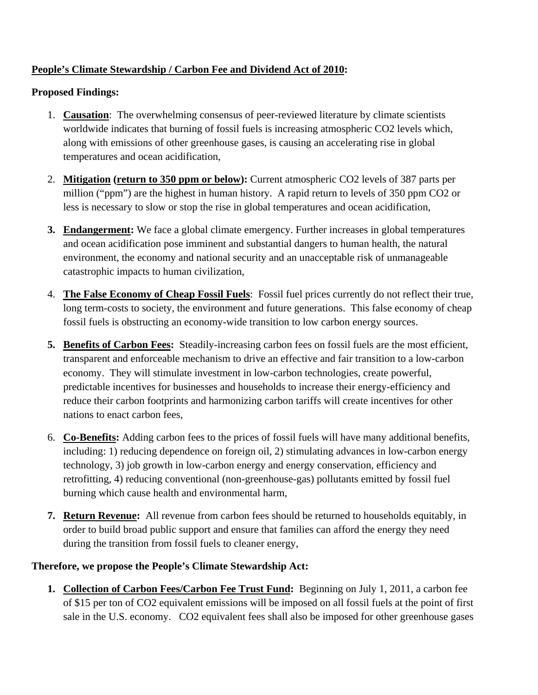## **People's Climate Stewardship / Carbon Fee and Dividend Act of 2010:**

## **Proposed Findings:**

- 1. **Causation**:The overwhelming consensus of peer-reviewed literature by climate scientists worldwide indicates that burning of fossil fuels is increasing atmospheric CO2 levels which, along with emissions of other greenhouse gases, is causing an accelerating rise in global temperatures and ocean acidification,
- 2. **Mitigation (return to 350 ppm or below):** Current atmospheric CO2 levels of 387 parts per million ("ppm") are the highest in human history. A rapid return to levels of 350 ppm CO2 or less is necessary to slow or stop the rise in global temperatures and ocean acidification,
- **3. Endangerment:** We face a global climate emergency. Further increases in global temperatures and ocean acidification pose imminent and substantial dangers to human health, the natural environment, the economy and national security and an unacceptable risk of unmanageable catastrophic impacts to human civilization,
- 4. **The False Economy of Cheap Fossil Fuels**: Fossil fuel prices currently do not reflect their true, long term-costs to society, the environment and future generations. This false economy of cheap fossil fuels is obstructing an economy-wide transition to low carbon energy sources.
- **5. Benefits of Carbon Fees:** Steadily-increasing carbon fees on fossil fuels are the most efficient, transparent and enforceable mechanism to drive an effective and fair transition to a low-carbon economy. They will stimulate investment in low-carbon technologies, create powerful, predictable incentives for businesses and households to increase their energy-efficiency and reduce their carbon footprints and harmonizing carbon tariffs will create incentives for other nations to enact carbon fees,
- 6. **Co-Benefits:** Adding carbon fees to the prices of fossil fuels will have many additional benefits, including: 1) reducing dependence on foreign oil, 2) stimulating advances in low-carbon energy technology, 3) job growth in low-carbon energy and energy conservation, efficiency and retrofitting, 4) reducing conventional (non-greenhouse-gas) pollutants emitted by fossil fuel burning which cause health and environmental harm,
- **7. Return Revenue:** All revenue from carbon fees should be returned to households equitably, in order to build broad public support and ensure that families can afford the energy they need during the transition from fossil fuels to cleaner energy,

## **Therefore, we propose the People's Climate Stewardship Act:**

**1. Collection of Carbon Fees/Carbon Fee Trust Fund:** Beginning on July 1, 2011, a carbon fee of \$15 per ton of CO2 equivalent emissions will be imposed on all fossil fuels at the point of first sale in the U.S. economy. CO2 equivalent fees shall also be imposed for other greenhouse gases